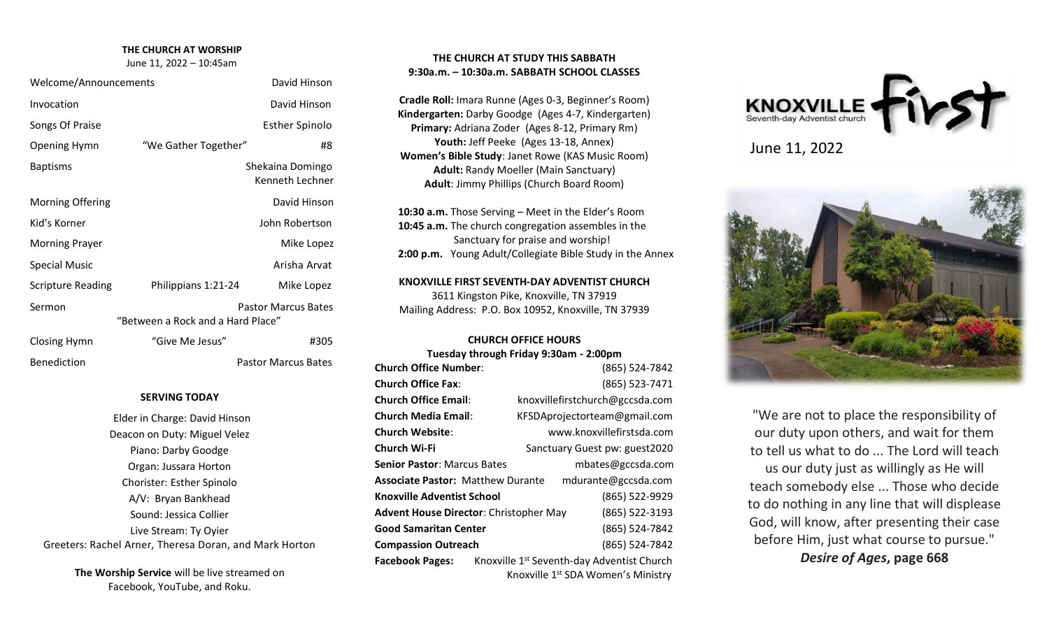# **THE CHURCH AT WORSHIP**

June 11, 2022 – 10:45am

| Welcome/Announcements    |                                   | David Hinson                        |  |
|--------------------------|-----------------------------------|-------------------------------------|--|
| Invocation               |                                   | David Hinson                        |  |
| Songs Of Praise          |                                   | <b>Esther Spinolo</b>               |  |
| <b>Opening Hymn</b>      | "We Gather Together"              | #8                                  |  |
| <b>Baptisms</b>          |                                   | Shekaina Domingo<br>Kenneth Lechner |  |
| <b>Morning Offering</b>  |                                   | David Hinson                        |  |
| Kid's Korner             |                                   | John Robertson                      |  |
| <b>Morning Prayer</b>    |                                   | Mike Lopez                          |  |
| <b>Special Music</b>     |                                   | Arisha Arvat                        |  |
| <b>Scripture Reading</b> | Philippians 1:21-24               | Mike Lopez                          |  |
| Sermon                   | "Between a Rock and a Hard Place" | <b>Pastor Marcus Bates</b>          |  |
| Closing Hymn             | "Give Me Jesus"                   | #305                                |  |

Benediction **Pastor Marcus Bates** 

## **SERVING TODAY**

Elder in Charge: David Hinson Deacon on Duty: Miguel Velez Piano: Darby Goodge Organ: Jussara Horton Chorister: Esther Spinolo A/V: Bryan Bankhead Sound: Jessica Collier Live Stream: Ty Oyier Greeters: Rachel Arner, Theresa Doran, and Mark Horton

> **The Worship Service** will be live streamed on Facebook, YouTube, and Roku.

## **THE CHURCH AT STUDY THIS SABBATH 9:30a.m. – 10:30a.m. SABBATH SCHOOL CLASSES**

**Cradle Roll:** Imara Runne (Ages 0-3, Beginner's Room) **Kindergarten:** Darby Goodge (Ages 4-7, Kindergarten) **Primary:** Adriana Zoder (Ages 8-12, Primary Rm) Youth: Jeff Peeke (Ages 13-18, Annex) **Women's Bible Study**: Janet Rowe (KAS Music Room) **Adult:** Randy Moeller (Main Sanctuary) **Adult**: Jimmy Phillips (Church Board Room)

 **10:30 a.m.** Those Serving – Meet in the Elder's Room  **10:45 a.m.** The church congregation assembles in the Sanctuary for praise and worship!  **2:00 p.m.** Young Adult/Collegiate Bible Study in the Annex

**KNOXVILLE FIRST SEVENTH-DAY ADVENTIST CHURCH** 3611 Kingston Pike, Knoxville, TN 37919 Mailing Address: P.O. Box 10952, Knoxville, TN 37939

## **CHURCH OFFICE HOURS**

**Tuesday through Friday 9:30am - 2:00pm Church Office Number**: (865) 524-7842

| CHUI CH OTHCE MUINDEL.                        | 1003134-7042                                           |
|-----------------------------------------------|--------------------------------------------------------|
| <b>Church Office Fax:</b>                     | (865) 523-7471                                         |
| <b>Church Office Email:</b>                   | knoxvillefirstchurch@gccsda.com                        |
| <b>Church Media Email:</b>                    | KFSDAprojectorteam@gmail.com                           |
| <b>Church Website:</b>                        | www.knoxvillefirstsda.com                              |
| <b>Church Wi-Fi</b>                           | Sanctuary Guest pw: guest2020                          |
| <b>Senior Pastor: Marcus Bates</b>            | mbates@gccsda.com                                      |
| <b>Associate Pastor: Matthew Durante</b>      | mdurante@gccsda.com                                    |
| <b>Knoxville Adventist School</b>             | (865) 522-9929                                         |
| <b>Advent House Director: Christopher May</b> | (865) 522-3193                                         |
| <b>Good Samaritan Center</b>                  | (865) 524-7842                                         |
| <b>Compassion Outreach</b>                    | (865) 524-7842                                         |
| <b>Facebook Pages:</b>                        | Knoxville 1 <sup>st</sup> Seventh-day Adventist Church |
|                                               | Knoxville 1 <sup>st</sup> SDA Women's Ministry         |



June 11, 2022



"We are not to place the responsibility of our duty upon others, and wait for them to tell us what to do ... The Lord will teach us our duty just as willingly as He will teach somebody else ... Those who decide to do nothing in any line that will displease God, will know, after presenting their case before Him, just what course to pursue." *Desire of Ages***, page 668**